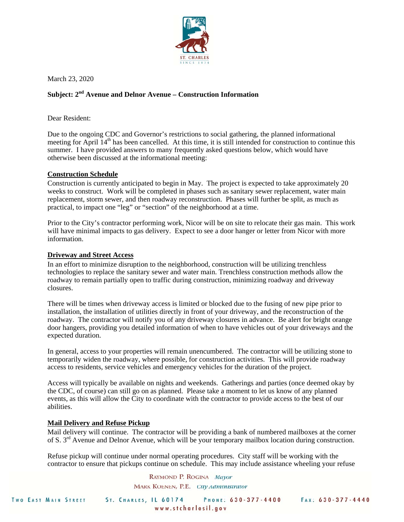

March 23, 2020

# **Subject: 2nd Avenue and Delnor Avenue – Construction Information**

Dear Resident:

Due to the ongoing CDC and Governor's restrictions to social gathering, the planned informational meeting for April 14<sup>th</sup> has been cancelled. At this time, it is still intended for construction to continue this summer. I have provided answers to many frequently asked questions below, which would have otherwise been discussed at the informational meeting:

## **Construction Schedule**

Construction is currently anticipated to begin in May. The project is expected to take approximately 20 weeks to construct. Work will be completed in phases such as sanitary sewer replacement, water main replacement, storm sewer, and then roadway reconstruction. Phases will further be split, as much as practical, to impact one "leg" or "section" of the neighborhood at a time.

Prior to the City's contractor performing work, Nicor will be on site to relocate their gas main. This work will have minimal impacts to gas delivery. Expect to see a door hanger or letter from Nicor with more information.

### **Driveway and Street Access**

In an effort to minimize disruption to the neighborhood, construction will be utilizing trenchless technologies to replace the sanitary sewer and water main. Trenchless construction methods allow the roadway to remain partially open to traffic during construction, minimizing roadway and driveway closures.

There will be times when driveway access is limited or blocked due to the fusing of new pipe prior to installation, the installation of utilities directly in front of your driveway, and the reconstruction of the roadway. The contractor will notify you of any driveway closures in advance. Be alert for bright orange door hangers, providing you detailed information of when to have vehicles out of your driveways and the expected duration.

In general, access to your properties will remain unencumbered. The contractor will be utilizing stone to temporarily widen the roadway, where possible, for construction activities. This will provide roadway access to residents, service vehicles and emergency vehicles for the duration of the project.

Access will typically be available on nights and weekends. Gatherings and parties (once deemed okay by the CDC, of course) can still go on as planned. Please take a moment to let us know of any planned events, as this will allow the City to coordinate with the contractor to provide access to the best of our abilities.

## **Mail Delivery and Refuse Pickup**

Mail delivery will continue. The contractor will be providing a bank of numbered mailboxes at the corner of S. 3rd Avenue and Delnor Avenue, which will be your temporary mailbox location during construction.

Refuse pickup will continue under normal operating procedures. City staff will be working with the contractor to ensure that pickups continue on schedule. This may include assistance wheeling your refuse

> RAYMOND P. ROGINA Mayor MARK KOENEN, P.E. City Administrator

|  |  |  |  |  | <b>TWO EAST MAIN STREET</b> |  |  |  |
|--|--|--|--|--|-----------------------------|--|--|--|
|--|--|--|--|--|-----------------------------|--|--|--|

ST. CHARLES, IL 60174 www.stcharlesil.gov